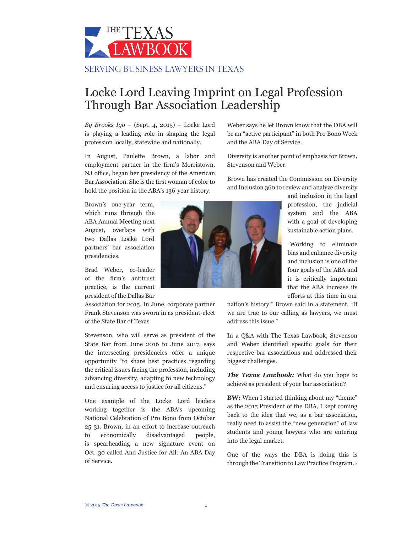

## Locke Lord Leaving Imprint on Legal Profession Through Bar Association Leadership

*By Brooks Igo* – (Sept. 4, 2015) – Locke Lord is playing a leading role in shaping the legal profession locally, statewide and nationally.

In August, Paulette Brown, a labor and employment partner in the firm's Morristown, NJ office, began her presidency of the American Bar Association. She is the first woman of color to hold the position in the ABA's 136-year history.

Brown's one-year term, which runs through the ABA Annual Meeting next August, overlaps with two Dallas Locke Lord partners' bar association presidencies.

Brad Weber, co-leader of the firm's antitrust practice, is the current president of the Dallas Bar

Association for 2015. In June, corporate partner Frank Stevenson was sworn in as president-elect of the State Bar of Texas.

Stevenson, who will serve as president of the State Bar from June 2016 to June 2017, says the intersecting presidencies offer a unique opportunity "to share best practices regarding the critical issues facing the profession, including advancing diversity, adapting to new technology and ensuring access to justice for all citizens."

One example of the Locke Lord leaders working together is the ABA's upcoming National Celebration of Pro Bono from October 25-31. Brown, in an effort to increase outreach to economically disadvantaged people, is spearheading a new signature event on Oct. 30 called And Justice for All: An ABA Day of Service.

Weber says he let Brown know that the DBA will be an "active participant" in both Pro Bono Week and the ABA Day of Service.

Diversity is another point of emphasis for Brown, Stevenson and Weber.

Brown has created the Commission on Diversity and Inclusion 360 to review and analyze diversity

> and inclusion in the legal profession, the judicial system and the ABA with a goal of developing sustainable action plans.

> "Working to eliminate bias and enhance diversity and inclusion is one of the four goals of the ABA and it is critically important that the ABA increase its efforts at this time in our

nation's history," Brown said in a statement. "If we are true to our calling as lawyers, we must address this issue."

In a Q&A with The Texas Lawbook, Stevenson and Weber identified specific goals for their respective bar associations and addressed their biggest challenges.

*The Texas Lawbook:* What do you hope to achieve as president of your bar association?

**BW:** When I started thinking about my "theme" as the 2015 President of the DBA, I kept coming back to the idea that we, as a bar association, really need to assist the "new generation" of law students and young lawyers who are entering into the legal market.

One of the ways the DBA is doing this is through the Transition to Law Practice Program. **<sup>&</sup>gt;**

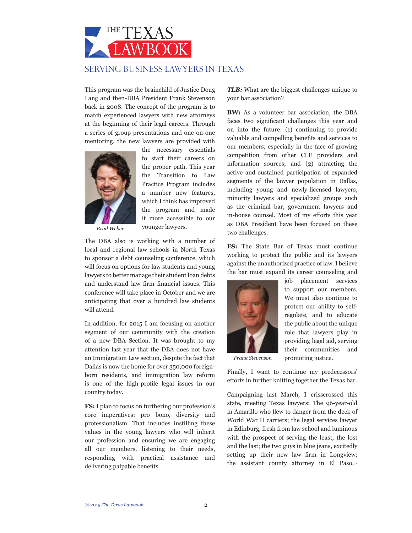

This program was the brainchild of Justice Doug Lang and then-DBA President Frank Stevenson back in 2008. The concept of the program is to match experienced lawyers with new attorneys at the beginning of their legal careers. Through a series of group presentations and one-on-one mentoring, the new lawyers are provided with



the necessary essentials to start their careers on the proper path. This year the Transition to Law Practice Program includes a number new features, which I think has improved the program and made it more accessible to our younger lawyers.

*Brad Weber*

The DBA also is working with a number of local and regional law schools in North Texas to sponsor a debt counseling conference, which will focus on options for law students and young lawyers to better manage their student loan debts and understand law firm financial issues. This conference will take place in October and we are anticipating that over a hundred law students will attend.

In addition, for 2015 I am focusing on another segment of our community with the creation of a new DBA Section. It was brought to my attention last year that the DBA does not have an Immigration Law section, despite the fact that Dallas is now the home for over 350,000 foreignborn residents, and immigration law reform is one of the high-profile legal issues in our country today.

**FS:** I plan to focus on furthering our profession's core imperatives: pro bono, diversity and professionalism. That includes instilling these values in the young lawyers who will inherit our profession and ensuring we are engaging all our members, listening to their needs, responding with practical assistance and delivering palpable benefits.

*TLB:* What are the biggest challenges unique to your bar association?

**BW:** As a volunteer bar association, the DBA faces two significant challenges this year and on into the future: (1) continuing to provide valuable and compelling benefits and services to our members, especially in the face of growing competition from other CLE providers and information sources; and (2) attracting the active and sustained participation of expanded segments of the lawyer population in Dallas, including young and newly-licensed lawyers, minority lawyers and specialized groups such as the criminal bar, government lawyers and in-house counsel. Most of my efforts this year as DBA President have been focused on these two challenges.

**FS:** The State Bar of Texas must continue working to protect the public and its lawyers against the unauthorized practice of law. I believe the bar must expand its career counseling and



job placement services to support our members. We must also continue to protect our ability to selfregulate, and to educate the public about the unique role that lawyers play in providing legal aid, serving their communities and promoting justice.

*Frank Stevenson*

Finally, I want to continue my predecessors' efforts in further knitting together the Texas bar.

Campaigning last March, I crisscrossed this state, meeting Texas lawyers: The 96-year-old in Amarillo who flew to danger from the deck of World War II carriers; the legal services lawyer in Edinburg, fresh from law school and luminous with the prospect of serving the least, the lost and the last; the two guys in blue jeans, excitedly setting up their new law firm in Longview; the assistant county attorney in El Paso, **<sup>&</sup>gt;**